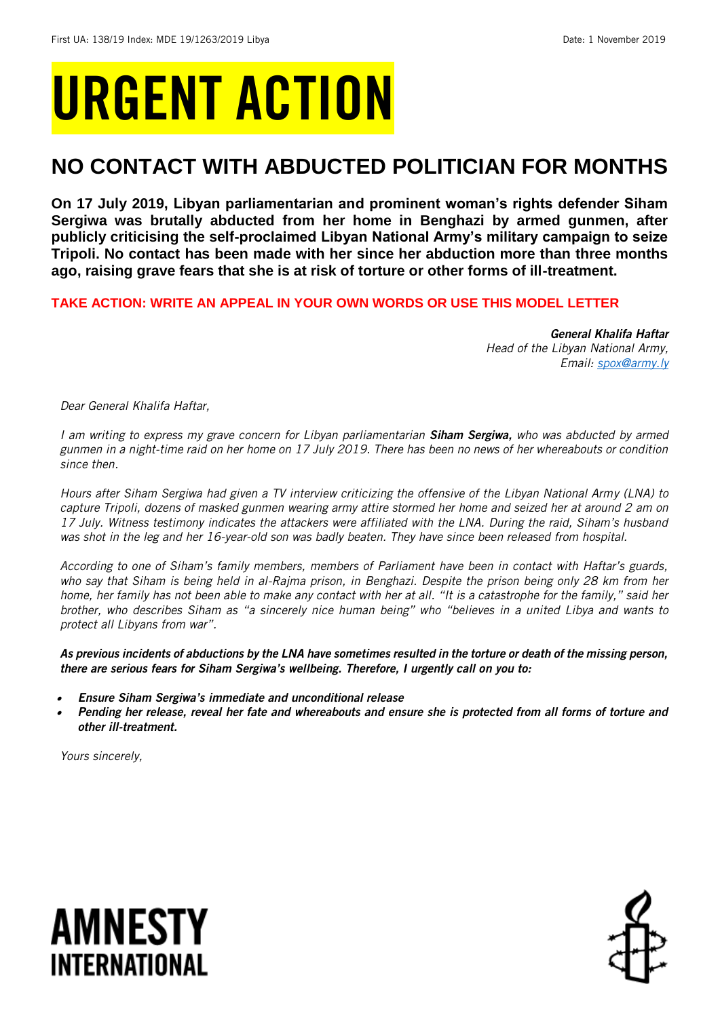## URGENT ACTION

## **NO CONTACT WITH ABDUCTED POLITICIAN FOR MONTHS**

**On 17 July 2019, Libyan parliamentarian and prominent woman's rights defender Siham Sergiwa was brutally abducted from her home in Benghazi by armed gunmen, after publicly criticising the self-proclaimed Libyan National Army's military campaign to seize Tripoli. No contact has been made with her since her abduction more than three months ago, raising grave fears that she is at risk of torture or other forms of ill-treatment.** 

## **TAKE ACTION: WRITE AN APPEAL IN YOUR OWN WORDS OR USE THIS MODEL LETTER**

*General Khalifa Haftar Head of the Libyan National Army, Email: [spox@army.ly](mailto:spox@army.ly)*

*Dear General Khalifa Haftar,*

*I am writing to express my grave concern for Libyan parliamentarian Siham Sergiwa, who was abducted by armed gunmen in a night-time raid on her home on 17 July 2019. There has been no news of her whereabouts or condition since then.* 

*Hours after Siham Sergiwa had given a TV interview criticizing the offensive of the Libyan National Army (LNA) to capture Tripoli, dozens of masked gunmen wearing army attire stormed her home and seized her at around 2 am on 17 July. Witness testimony indicates the attackers were affiliated with the LNA. During the raid, Siham's husband was shot in the leg and her 16-year-old son was badly beaten. They have since been released from hospital.*

*According to one of Siham's family members, members of Parliament have been in contact with Haftar's guards, who say that Siham is being held in al-Rajma prison, in Benghazi. Despite the prison being only 28 km from her home, her family has not been able to make any contact with her at all. "It is a catastrophe for the family," said her brother, who describes Siham as "a sincerely nice human being" who "believes in a united Libya and wants to protect all Libyans from war".*

*As previous incidents of abductions by the LNA have sometimes resulted in the torture or death of the missing person, there are serious fears for Siham Sergiwa's wellbeing. Therefore, I urgently call on you to:*

- . *Ensure Siham Sergiwa's immediate and unconditional release*
- . *Pending her release, reveal her fate and whereabouts and ensure she is protected from all forms of torture and other ill-treatment.*

*Yours sincerely,*